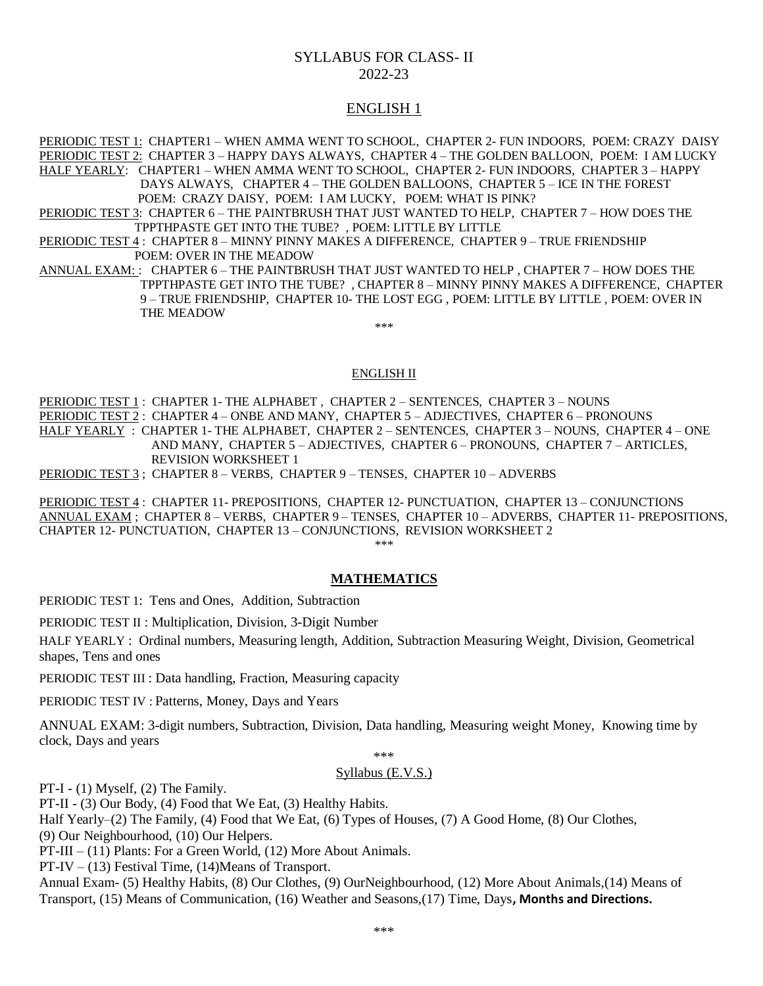# SYLLABUS FOR CLASS- II 2022-23

## ENGLISH 1

PERIODIC TEST 1: CHAPTER1 – WHEN AMMA WENT TO SCHOOL, CHAPTER 2- FUN INDOORS, POEM: CRAZY DAISY PERIODIC TEST 2: CHAPTER 3 – HAPPY DAYS ALWAYS, CHAPTER 4 – THE GOLDEN BALLOON, POEM: I AM LUCKY HALF YEARLY: CHAPTER1 – WHEN AMMA WENT TO SCHOOL, CHAPTER 2- FUN INDOORS, CHAPTER 3 – HAPPY DAYS ALWAYS, CHAPTER 4 – THE GOLDEN BALLOONS, CHAPTER 5 – ICE IN THE FOREST POEM: CRAZY DAISY, POEM: I AM LUCKY, POEM: WHAT IS PINK? PERIODIC TEST 3: CHAPTER 6 – THE PAINTBRUSH THAT JUST WANTED TO HELP, CHAPTER 7 – HOW DOES THE

TPPTHPASTE GET INTO THE TUBE? , POEM: LITTLE BY LITTLE

PERIODIC TEST 4 : CHAPTER 8 – MINNY PINNY MAKES A DIFFERENCE, CHAPTER 9 – TRUE FRIENDSHIP POEM: OVER IN THE MEADOW

ANNUAL EXAM: : CHAPTER 6 - THE PAINTBRUSH THAT JUST WANTED TO HELP, CHAPTER 7 - HOW DOES THE TPPTHPASTE GET INTO THE TUBE? , CHAPTER 8 – MINNY PINNY MAKES A DIFFERENCE, CHAPTER 9 – TRUE FRIENDSHIP, CHAPTER 10- THE LOST EGG , POEM: LITTLE BY LITTLE , POEM: OVER IN THE MEADOW

\*\*\*

### ENGLISH II

PERIODIC TEST 1: CHAPTER 1- THE ALPHABET, CHAPTER 2 - SENTENCES, CHAPTER 3 - NOUNS PERIODIC TEST 2 : CHAPTER 4 – ONBE AND MANY, CHAPTER 5 – ADJECTIVES, CHAPTER 6 – PRONOUNS HALF YEARLY : CHAPTER 1- THE ALPHABET, CHAPTER 2 – SENTENCES, CHAPTER 3 – NOUNS, CHAPTER 4 – ONE AND MANY, CHAPTER 5 – ADJECTIVES, CHAPTER 6 – PRONOUNS, CHAPTER 7 – ARTICLES, REVISION WORKSHEET 1

PERIODIC TEST 3 ; CHAPTER 8 – VERBS, CHAPTER 9 – TENSES, CHAPTER 10 – ADVERBS

PERIODIC TEST 4 : CHAPTER 11- PREPOSITIONS, CHAPTER 12- PUNCTUATION, CHAPTER 13 – CONJUNCTIONS ANNUAL EXAM ; CHAPTER 8 – VERBS, CHAPTER 9 – TENSES, CHAPTER 10 – ADVERBS, CHAPTER 11- PREPOSITIONS, CHAPTER 12- PUNCTUATION, CHAPTER 13 – CONJUNCTIONS, REVISION WORKSHEET 2 \*\*\*

### **MATHEMATICS**

PERIODIC TEST 1: Tens and Ones, Addition, Subtraction

PERIODIC TEST II : Multiplication, Division, 3-Digit Number

HALF YEARLY : Ordinal numbers, Measuring length, Addition, Subtraction Measuring Weight, Division, Geometrical shapes, Tens and ones

PERIODIC TEST III : Data handling, Fraction, Measuring capacity

PERIODIC TEST IV : Patterns, Money, Days and Years

ANNUAL EXAM: 3-digit numbers, Subtraction, Division, Data handling, Measuring weight Money, Knowing time by clock, Days and years

\*\*\*

### Syllabus (E.V.S.)

PT-I - (1) Myself, (2) The Family.

PT-II - (3) Our Body, (4) Food that We Eat, (3) Healthy Habits.

Half Yearly–(2) The Family, (4) Food that We Eat, (6) Types of Houses, (7) A Good Home, (8) Our Clothes,

(9) Our Neighbourhood, (10) Our Helpers.

PT-III – (11) Plants: For a Green World, (12) More About Animals.

 $PT-IV - (13)$  Festival Time,  $(14)$ Means of Transport.

Annual Exam- (5) Healthy Habits, (8) Our Clothes, (9) OurNeighbourhood, (12) More About Animals,(14) Means of Transport, (15) Means of Communication, (16) Weather and Seasons,(17) Time, Days**, Months and Directions.**